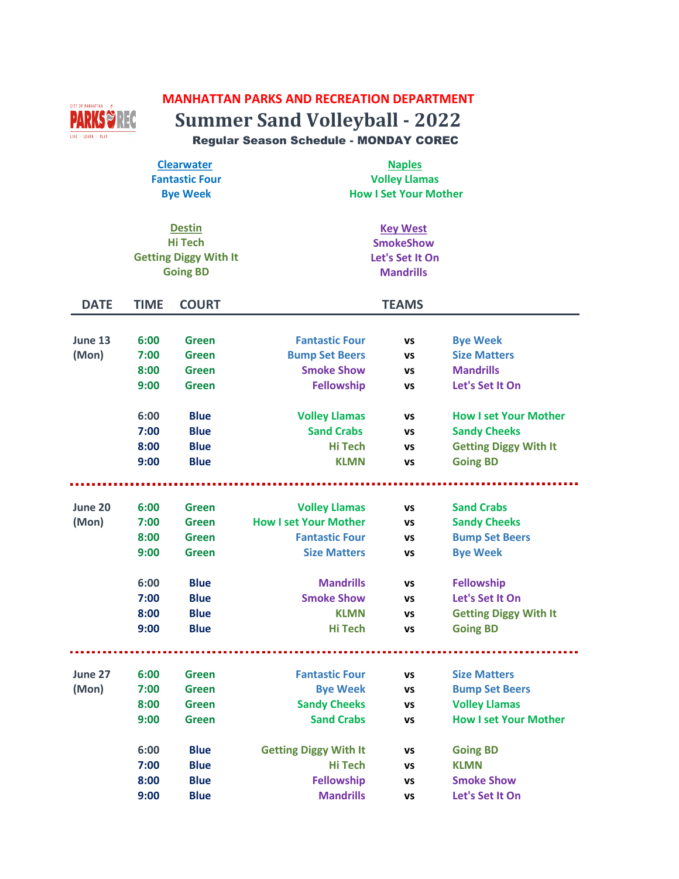## **MANHATTAN PARKS AND RECREATION DEPARTMENT**



**Summer Sand Volleyball - 2022** Regular Season Schedule - MONDAY COREC

| <b>Clearwater</b>     | <b>Naples</b>                |
|-----------------------|------------------------------|
| <b>Fantastic Four</b> | <b>Volley Llamas</b>         |
| <b>Bye Week</b>       | <b>How I Set Your Mother</b> |

| <b>Destin</b>                | <b>Key West</b>  |
|------------------------------|------------------|
| Hi Tech                      | <b>SmokeShow</b> |
| <b>Getting Diggy With It</b> | Let's Set It On  |
| <b>Going BD</b>              | <b>Mandrills</b> |

| <b>DATE</b> | <b>TIME</b> | <b>COURT</b> |                              | <b>TEAMS</b> |                              |
|-------------|-------------|--------------|------------------------------|--------------|------------------------------|
|             |             |              |                              |              |                              |
| June 13     | 6:00        | <b>Green</b> | <b>Fantastic Four</b>        | <b>VS</b>    | <b>Bye Week</b>              |
| (Mon)       | 7:00        | Green        | <b>Bump Set Beers</b>        | VS           | <b>Size Matters</b>          |
|             | 8:00        | <b>Green</b> | <b>Smoke Show</b>            | VS           | <b>Mandrills</b>             |
|             | 9:00        | <b>Green</b> | <b>Fellowship</b>            | VS           | Let's Set It On              |
|             | 6:00        | <b>Blue</b>  | <b>Volley Llamas</b>         | VS           | <b>How I set Your Mother</b> |
|             | 7:00        | <b>Blue</b>  | <b>Sand Crabs</b>            | VS           | <b>Sandy Cheeks</b>          |
|             | 8:00        | <b>Blue</b>  | <b>Hi Tech</b>               | VS           | <b>Getting Diggy With It</b> |
|             | 9:00        | <b>Blue</b>  | <b>KLMN</b>                  | VS           | <b>Going BD</b>              |
|             |             |              |                              |              |                              |
| June 20     | 6:00        | <b>Green</b> | <b>Volley Llamas</b>         | <b>VS</b>    | <b>Sand Crabs</b>            |
| (Mon)       | 7:00        | <b>Green</b> | <b>How I set Your Mother</b> | VS           | <b>Sandy Cheeks</b>          |
|             | 8:00        | Green        | <b>Fantastic Four</b>        | VS           | <b>Bump Set Beers</b>        |
|             | 9:00        | <b>Green</b> | <b>Size Matters</b>          | VS           | <b>Bye Week</b>              |
|             | 6:00        | <b>Blue</b>  | <b>Mandrills</b>             | VS           | <b>Fellowship</b>            |
|             | 7:00        | <b>Blue</b>  | <b>Smoke Show</b>            | VS           | Let's Set It On              |
|             | 8:00        | <b>Blue</b>  | <b>KLMN</b>                  | VS           | <b>Getting Diggy With It</b> |
|             | 9:00        | <b>Blue</b>  | <b>Hi Tech</b>               | VS           | <b>Going BD</b>              |
|             |             |              |                              |              |                              |
| June 27     | 6:00        | <b>Green</b> | <b>Fantastic Four</b>        | <b>VS</b>    | <b>Size Matters</b>          |
| (Mon)       | 7:00        | <b>Green</b> | <b>Bye Week</b>              | VS           | <b>Bump Set Beers</b>        |
|             | 8:00        | <b>Green</b> | <b>Sandy Cheeks</b>          | VS           | <b>Volley Llamas</b>         |
|             | 9:00        | Green        | <b>Sand Crabs</b>            | VS           | <b>How I set Your Mother</b> |
|             | 6:00        | <b>Blue</b>  | <b>Getting Diggy With It</b> | VS           | <b>Going BD</b>              |
|             | 7:00        | <b>Blue</b>  | Hi Tech                      | VS           | <b>KLMN</b>                  |
|             | 8:00        | <b>Blue</b>  | <b>Fellowship</b>            | VS           | <b>Smoke Show</b>            |
|             | 9:00        | <b>Blue</b>  | <b>Mandrills</b>             | VS           | Let's Set It On              |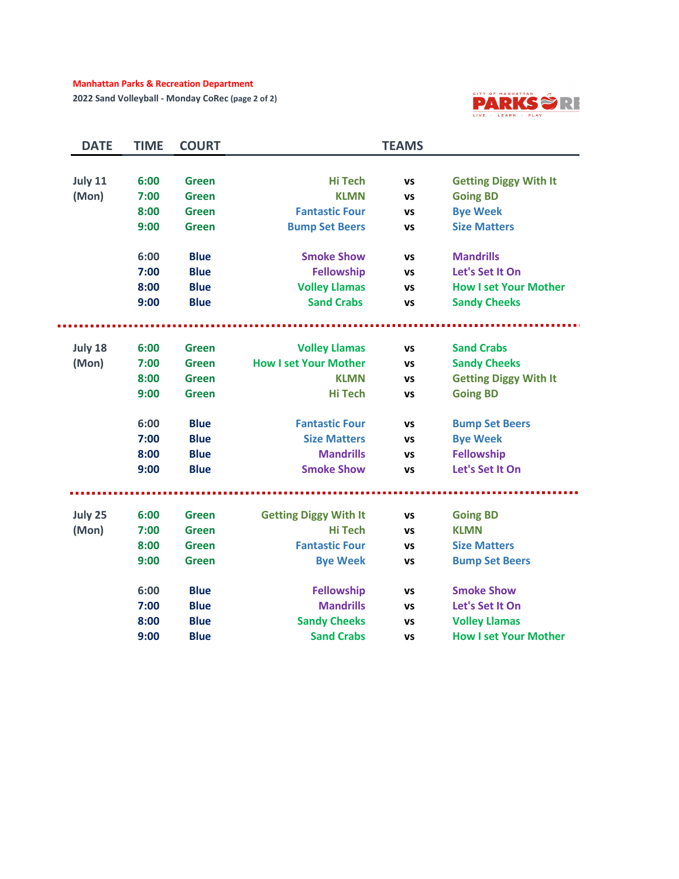#### **Manhattan Parks & Recreation Department**

**2022 Sand Volleyball - Monday CoRec (page 2 of 2)**



| <b>DATE</b> | <b>TIME</b> | <b>COURT</b> |                              | <b>TEAMS</b> |                              |
|-------------|-------------|--------------|------------------------------|--------------|------------------------------|
|             |             |              |                              |              |                              |
| July 11     | 6:00        | <b>Green</b> | <b>Hi Tech</b>               | VS           | <b>Getting Diggy With It</b> |
| (Mon)       | 7:00        | <b>Green</b> | <b>KLMN</b>                  | VS           | <b>Going BD</b>              |
|             | 8:00        | Green        | <b>Fantastic Four</b>        | VS           | <b>Bye Week</b>              |
|             | 9:00        | <b>Green</b> | <b>Bump Set Beers</b>        | VS           | <b>Size Matters</b>          |
|             | 6:00        | <b>Blue</b>  | <b>Smoke Show</b>            | VS           | <b>Mandrills</b>             |
|             | 7:00        | <b>Blue</b>  | <b>Fellowship</b>            | VS           | Let's Set It On              |
|             | 8:00        | <b>Blue</b>  | <b>Volley Llamas</b>         | VS           | <b>How I set Your Mother</b> |
|             | 9:00        | <b>Blue</b>  | <b>Sand Crabs</b>            | VS           | <b>Sandy Cheeks</b>          |
|             |             |              |                              |              |                              |
| July 18     | 6:00        | <b>Green</b> | <b>Volley Llamas</b>         | VS           | <b>Sand Crabs</b>            |
| (Mon)       | 7:00        | <b>Green</b> | <b>How I set Your Mother</b> | VS           | <b>Sandy Cheeks</b>          |
|             | 8:00        | Green        | <b>KLMN</b>                  | VS           | <b>Getting Diggy With It</b> |
|             | 9:00        | <b>Green</b> | <b>Hi Tech</b>               | VS           | <b>Going BD</b>              |
|             | 6:00        | <b>Blue</b>  | <b>Fantastic Four</b>        | VS           | <b>Bump Set Beers</b>        |
|             | 7:00        | <b>Blue</b>  | <b>Size Matters</b>          | VS           | <b>Bye Week</b>              |
|             | 8:00        | <b>Blue</b>  | <b>Mandrills</b>             | VS           | <b>Fellowship</b>            |
|             | 9:00        | <b>Blue</b>  | <b>Smoke Show</b>            | VS           | Let's Set It On              |
|             |             |              |                              |              |                              |
| July 25     | 6:00        | <b>Green</b> | <b>Getting Diggy With It</b> | VS           | <b>Going BD</b>              |
| (Mon)       | 7:00        | <b>Green</b> | Hi Tech                      | VS           | <b>KLMN</b>                  |
|             | 8:00        | <b>Green</b> | <b>Fantastic Four</b>        | VS           | <b>Size Matters</b>          |
|             | 9:00        | <b>Green</b> | <b>Bye Week</b>              | VS           | <b>Bump Set Beers</b>        |
|             | 6:00        | <b>Blue</b>  | <b>Fellowship</b>            | VS           | <b>Smoke Show</b>            |
|             | 7:00        | <b>Blue</b>  | <b>Mandrills</b>             | VS           | Let's Set It On              |
|             | 8:00        | <b>Blue</b>  | <b>Sandy Cheeks</b>          | VS           | <b>Volley Llamas</b>         |
|             | 9:00        | <b>Blue</b>  | <b>Sand Crabs</b>            | VS           | <b>How I set Your Mother</b> |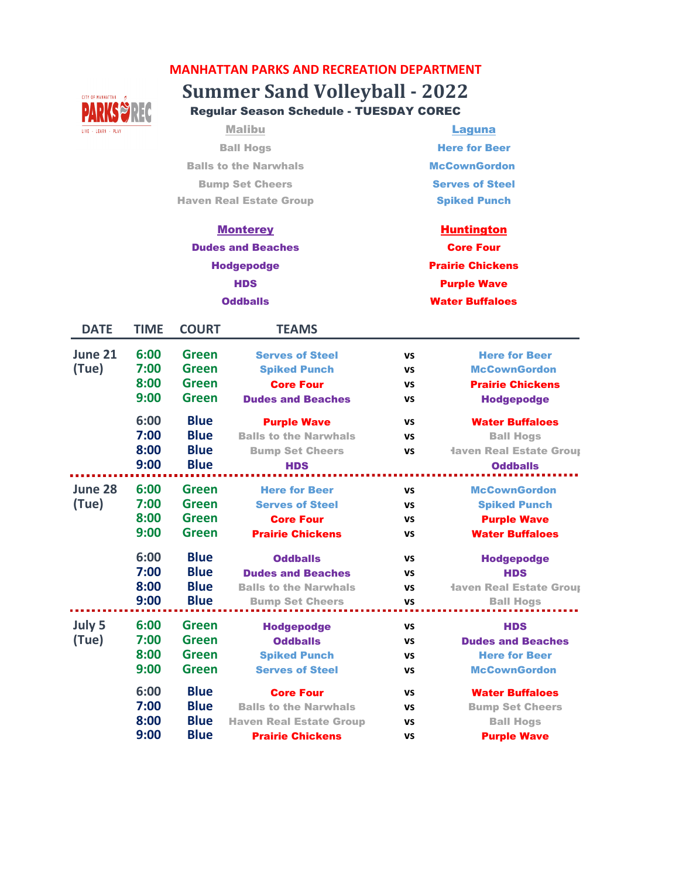# **Summer Sand Volleyball - 2022 MANHATTAN PARKS AND RECREATION DEPARTMENT**



Regular Season Schedule - TUESDAY COREC

Malibu **Laguna** Ball Hogs Balls to the Narwhals Bump Set Cheers Haven Real Estate Group

Here for Beer **McCownGordon** Serves of Steel Spiked Punch

#### **Monterey**

## Dudes and Beaches Hodgepodge **HDS Oddballs**

Purple Wave Water Buffaloes **Huntington** Core Four Prairie Chickens

| <b>DATE</b>      | <b>TIME</b>                  | <b>COURT</b>                                             | <b>TEAMS</b>                                                                                                  |                                                  |                                                                                                 |
|------------------|------------------------------|----------------------------------------------------------|---------------------------------------------------------------------------------------------------------------|--------------------------------------------------|-------------------------------------------------------------------------------------------------|
| June 21<br>(Tue) | 6:00<br>7:00<br>8:00<br>9:00 | Green<br><b>Green</b><br><b>Green</b><br>Green           | <b>Serves of Steel</b><br><b>Spiked Punch</b><br><b>Core Four</b><br><b>Dudes and Beaches</b>                 | <b>VS</b><br><b>VS</b><br><b>VS</b><br>VS        | <b>Here for Beer</b><br><b>McCownGordon</b><br><b>Prairie Chickens</b><br><b>Hodgepodge</b>     |
|                  | 6:00<br>7:00<br>8:00<br>9:00 | <b>Blue</b><br><b>Blue</b><br><b>Blue</b><br><b>Blue</b> | <b>Purple Wave</b><br><b>Balls to the Narwhals</b><br><b>Bump Set Cheers</b><br><b>HDS</b>                    | <b>VS</b><br><b>VS</b><br><b>VS</b>              | <b>Water Buffaloes</b><br><b>Ball Hogs</b><br><b>Haven Real Estate Group</b><br><b>Oddballs</b> |
| June 28<br>(Tue) | 6:00<br>7:00<br>8:00<br>9:00 | Green<br>Green<br>Green<br>Green                         | <b>Here for Beer</b><br><b>Serves of Steel</b><br><b>Core Four</b><br><b>Prairie Chickens</b>                 | <b>VS</b><br>VS<br>VS<br><b>VS</b>               | <b>McCownGordon</b><br><b>Spiked Punch</b><br><b>Purple Wave</b><br><b>Water Buffaloes</b>      |
|                  | 6:00<br>7:00<br>8:00<br>9:00 | <b>Blue</b><br><b>Blue</b><br><b>Blue</b><br><b>Blue</b> | <b>Oddballs</b><br><b>Dudes and Beaches</b><br><b>Balls to the Narwhals</b><br><b>Bump Set Cheers</b>         | <b>VS</b><br><b>VS</b><br><b>VS</b><br><b>VS</b> | <b>Hodgepodge</b><br><b>HDS</b><br><b>Haven Real Estate Group</b><br><b>Ball Hogs</b>           |
| July 5<br>(Tue)  | 6:00<br>7:00<br>8:00<br>9:00 | Green<br>Green<br>Green<br>Green                         | <b>Hodgepodge</b><br><b>Oddballs</b><br><b>Spiked Punch</b><br><b>Serves of Steel</b>                         | VS<br>VS<br><b>VS</b><br><b>VS</b>               | <b>HDS</b><br><b>Dudes and Beaches</b><br><b>Here for Beer</b><br><b>McCownGordon</b>           |
|                  | 6:00<br>7:00<br>8:00<br>9:00 | <b>Blue</b><br><b>Blue</b><br><b>Blue</b><br><b>Blue</b> | <b>Core Four</b><br><b>Balls to the Narwhals</b><br><b>Haven Real Estate Group</b><br><b>Prairie Chickens</b> | <b>VS</b><br><b>VS</b><br>VS<br>VS               | <b>Water Buffaloes</b><br><b>Bump Set Cheers</b><br><b>Ball Hogs</b><br><b>Purple Wave</b>      |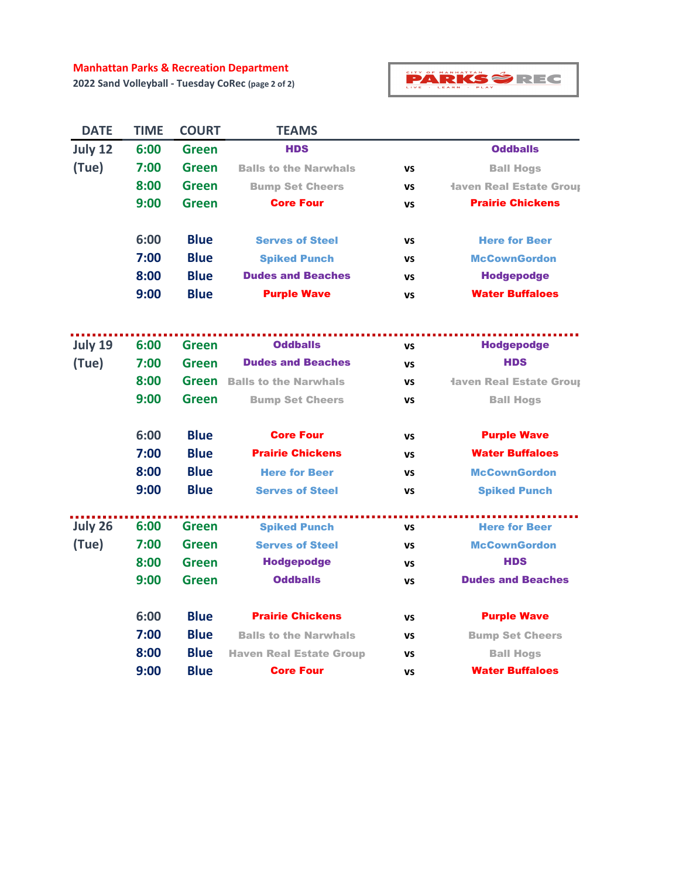#### **Manhattan Parks & Recreation Department**

**2022 Sand Volleyball - Tuesday CoRec (page 2 of 2)**



| <b>DATE</b> | <b>TIME</b> | <b>COURT</b> | <b>TEAMS</b>                   |           |                                |
|-------------|-------------|--------------|--------------------------------|-----------|--------------------------------|
| July 12     | 6:00        | Green        | <b>HDS</b>                     |           | <b>Oddballs</b>                |
| (Tue)       | 7:00        | <b>Green</b> | <b>Balls to the Narwhals</b>   | VS        | <b>Ball Hogs</b>               |
|             | 8:00        | Green        | <b>Bump Set Cheers</b>         | VS        | <b>Haven Real Estate Group</b> |
|             | 9:00        | <b>Green</b> | <b>Core Four</b>               | VS        | <b>Prairie Chickens</b>        |
|             | 6:00        | <b>Blue</b>  | <b>Serves of Steel</b>         | VS        | <b>Here for Beer</b>           |
|             | 7:00        | <b>Blue</b>  | <b>Spiked Punch</b>            | <b>VS</b> | <b>McCownGordon</b>            |
|             | 8:00        | <b>Blue</b>  | <b>Dudes and Beaches</b>       | VS        | <b>Hodgepodge</b>              |
|             | 9:00        | <b>Blue</b>  | <b>Purple Wave</b>             | VS        | <b>Water Buffaloes</b>         |
| July 19     | 6:00        | Green        | <b>Oddballs</b>                | <b>VS</b> | <b>Hodgepodge</b>              |
| (Tue)       | 7:00        | <b>Green</b> | <b>Dudes and Beaches</b>       | <b>VS</b> | <b>HDS</b>                     |
|             | 8:00        | Green        | <b>Balls to the Narwhals</b>   | <b>VS</b> | <b>Iaven Real Estate Group</b> |
|             | 9:00        | Green        | <b>Bump Set Cheers</b>         | <b>VS</b> | <b>Ball Hogs</b>               |
|             |             |              |                                |           |                                |
|             | 6:00        | <b>Blue</b>  | <b>Core Four</b>               | <b>VS</b> | <b>Purple Wave</b>             |
|             | 7:00        | <b>Blue</b>  | <b>Prairie Chickens</b>        | VS        | <b>Water Buffaloes</b>         |
|             | 8:00        | <b>Blue</b>  | <b>Here for Beer</b>           | VS        | <b>McCownGordon</b>            |
|             | 9:00        | <b>Blue</b>  | <b>Serves of Steel</b>         | VS        | <b>Spiked Punch</b>            |
| July 26     | 6:00        | <b>Green</b> | <b>Spiked Punch</b>            | <b>VS</b> | <b>Here for Beer</b>           |
| (Tue)       | 7:00        | <b>Green</b> | <b>Serves of Steel</b>         | VS        | <b>McCownGordon</b>            |
|             | 8:00        | Green        | <b>Hodgepodge</b>              | VS        | <b>HDS</b>                     |
|             | 9:00        | <b>Green</b> | <b>Oddballs</b>                | VS        | <b>Dudes and Beaches</b>       |
|             | 6:00        | <b>Blue</b>  | <b>Prairie Chickens</b>        | VS        | <b>Purple Wave</b>             |
|             | 7:00        | <b>Blue</b>  | <b>Balls to the Narwhals</b>   | <b>VS</b> | <b>Bump Set Cheers</b>         |
|             | 8:00        | <b>Blue</b>  | <b>Haven Real Estate Group</b> | VS        | <b>Ball Hogs</b>               |
|             | 9:00        | <b>Blue</b>  | <b>Core Four</b>               | VS        | <b>Water Buffaloes</b>         |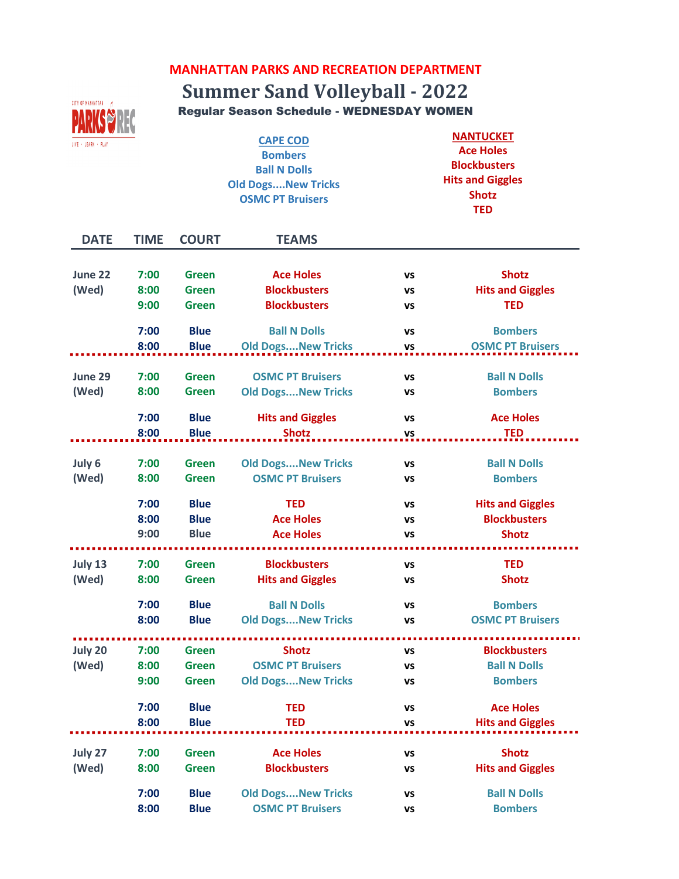### **MANHATTAN PARKS AND RECREATION DEPARTMENT**

# **Summer Sand Volleyball - 2022**



LIVE  $\sim$  LEARN  $\sim$  PLAY

**CAPE COD Bombers Ball N Dolls Old Dogs....New Tricks OSMC PT Bruisers**

**NANTUCKET Ace Holes Blockbusters Hits and Giggles Shotz TED** 

| <b>DATE</b> | <b>TIME</b> | <b>COURT</b> | <b>TEAMS</b>              |           |                         |
|-------------|-------------|--------------|---------------------------|-----------|-------------------------|
|             |             |              |                           |           |                         |
| June 22     | 7:00        | <b>Green</b> | <b>Ace Holes</b>          | VS        | <b>Shotz</b>            |
| (Wed)       | 8:00        | <b>Green</b> | <b>Blockbusters</b>       | VS        | <b>Hits and Giggles</b> |
|             | 9:00        | <b>Green</b> | <b>Blockbusters</b>       | VS        | <b>TED</b>              |
|             | 7:00        | <b>Blue</b>  | <b>Ball N Dolls</b>       | VS        | <b>Bombers</b>          |
|             | 8:00        | <b>Blue</b>  | <b>Old DogsNew Tricks</b> | VS        | <b>OSMC PT Bruisers</b> |
| June 29     | 7:00        | <b>Green</b> | <b>OSMC PT Bruisers</b>   | VS        | <b>Ball N Dolls</b>     |
| (Wed)       | 8:00        | <b>Green</b> | <b>Old DogsNew Tricks</b> | vs        | <b>Bombers</b>          |
|             |             |              |                           |           |                         |
|             | 7:00        | <b>Blue</b>  | <b>Hits and Giggles</b>   | <b>VS</b> | <b>Ace Holes</b>        |
|             | 8:00        | <b>Blue</b>  | <b>Shotz</b>              | <b>VS</b> | <b>TED</b>              |
|             |             |              |                           |           |                         |
| July 6      | 7:00        | <b>Green</b> | <b>Old DogsNew Tricks</b> | VS        | <b>Ball N Dolls</b>     |
| (Wed)       | 8:00        | <b>Green</b> | <b>OSMC PT Bruisers</b>   | <b>VS</b> | <b>Bombers</b>          |
|             | 7:00        | <b>Blue</b>  | <b>TED</b>                | VS        | <b>Hits and Giggles</b> |
|             | 8:00        | <b>Blue</b>  | <b>Ace Holes</b>          | VS        | <b>Blockbusters</b>     |
|             | 9:00        | <b>Blue</b>  | <b>Ace Holes</b>          | <b>VS</b> | <b>Shotz</b>            |
| July 13     | 7:00        | <b>Green</b> | <b>Blockbusters</b>       | VS        | <b>TED</b>              |
| (Wed)       | 8:00        | <b>Green</b> | <b>Hits and Giggles</b>   | vs        | <b>Shotz</b>            |
|             |             |              |                           |           |                         |
|             | 7:00        | <b>Blue</b>  | <b>Ball N Dolls</b>       | <b>VS</b> | <b>Bombers</b>          |
|             | 8:00        | <b>Blue</b>  | <b>Old DogsNew Tricks</b> | VS        | <b>OSMC PT Bruisers</b> |
|             |             |              |                           |           |                         |
| July 20     | 7:00        | <b>Green</b> | <b>Shotz</b>              | VS        | <b>Blockbusters</b>     |
| (Wed)       | 8:00        | <b>Green</b> | <b>OSMC PT Bruisers</b>   | VS        | <b>Ball N Dolls</b>     |
|             | 9:00        | <b>Green</b> | <b>Old DogsNew Tricks</b> | VS        | <b>Bombers</b>          |
|             | 7:00        | <b>Blue</b>  | <b>TED</b>                | vs        | <b>Ace Holes</b>        |
|             | 8:00        | <b>Blue</b>  | <b>TED</b>                | <b>VS</b> | <b>Hits and Giggles</b> |
| July 27     | 7:00        | <b>Green</b> | <b>Ace Holes</b>          | VS        | <b>Shotz</b>            |
| (Wed)       | 8:00        | <b>Green</b> | <b>Blockbusters</b>       | VS        | <b>Hits and Giggles</b> |
|             |             |              |                           |           |                         |
|             | 7:00        | <b>Blue</b>  | <b>Old DogsNew Tricks</b> | <b>VS</b> | <b>Ball N Dolls</b>     |
|             | 8:00        | <b>Blue</b>  | <b>OSMC PT Bruisers</b>   | <b>VS</b> | <b>Bombers</b>          |
|             |             |              |                           |           |                         |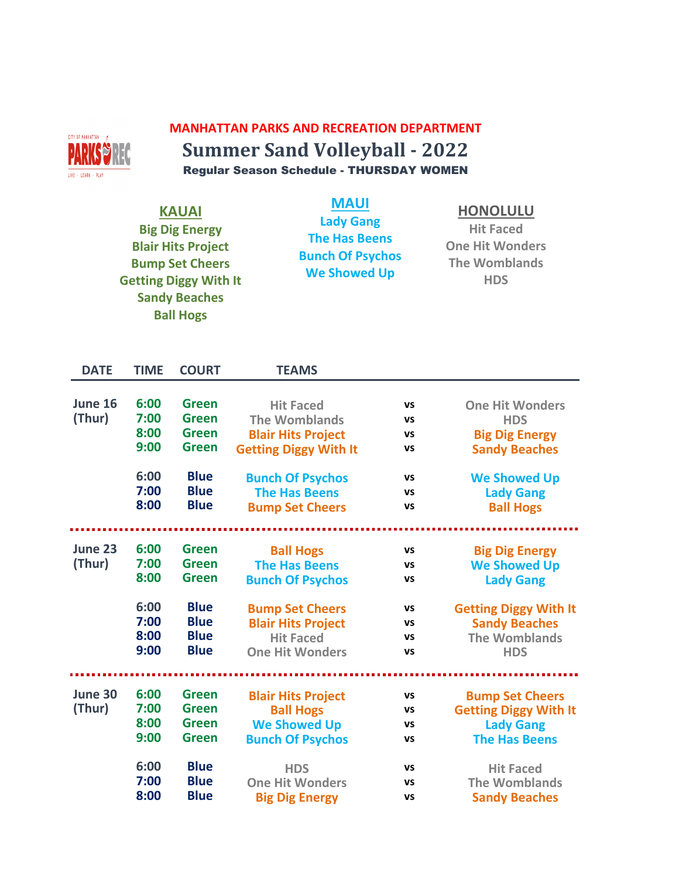

## **MANHATTAN PARKS AND RECREATION DEPARTMENT Summer Sand Volleyball - 2022** Regular Season Schedule - THURSDAY WOMEN

| <b>KAUAI</b><br><b>Big Dig Energy</b><br><b>Blair Hits Project</b><br><b>Bump Set Cheers</b><br><b>Getting Diggy With It</b><br><b>Sandy Beaches</b><br><b>Ball Hogs</b> |                                                                              | <b>MAUI</b>                                                                                                                                               | <b>Lady Gang</b><br><b>The Has Beens</b><br><b>Bunch Of Psychos</b><br><b>We Showed Up</b>                                                                                                                                                                |                                                                        |                                                                                                                                                                                                                          |
|--------------------------------------------------------------------------------------------------------------------------------------------------------------------------|------------------------------------------------------------------------------|-----------------------------------------------------------------------------------------------------------------------------------------------------------|-----------------------------------------------------------------------------------------------------------------------------------------------------------------------------------------------------------------------------------------------------------|------------------------------------------------------------------------|--------------------------------------------------------------------------------------------------------------------------------------------------------------------------------------------------------------------------|
| <b>DATE</b>                                                                                                                                                              | <b>TIME</b>                                                                  | <b>COURT</b>                                                                                                                                              | <b>TEAMS</b>                                                                                                                                                                                                                                              |                                                                        |                                                                                                                                                                                                                          |
| June 16<br>(Thur)<br>June 23<br>(Thur)                                                                                                                                   | 6:00<br>7:00<br>8:00<br>9:00<br>6:00<br>7:00<br>8:00<br>6:00<br>7:00<br>8:00 | <b>Green</b><br><b>Green</b><br><b>Green</b><br><b>Green</b><br><b>Blue</b><br><b>Blue</b><br><b>Blue</b><br><b>Green</b><br><b>Green</b><br><b>Green</b> | <b>Hit Faced</b><br><b>The Womblands</b><br><b>Blair Hits Project</b><br><b>Getting Diggy With It</b><br><b>Bunch Of Psychos</b><br><b>The Has Beens</b><br><b>Bump Set Cheers</b><br><b>Ball Hogs</b><br><b>The Has Beens</b><br><b>Bunch Of Psychos</b> | VS<br>VS<br>VS<br>VS<br><b>VS</b><br><b>VS</b><br>VS<br>vs<br>vs<br>VS | <b>One Hit Wonders</b><br><b>HDS</b><br><b>Big Dig Energy</b><br><b>Sandy Beaches</b><br><b>We Showed Up</b><br><b>Lady Gang</b><br><b>Ball Hogs</b><br><b>Big Dig Energy</b><br><b>We Showed Up</b><br><b>Lady Gang</b> |
|                                                                                                                                                                          | 6:00<br>7:00<br>8:00<br>9:00                                                 | <b>Blue</b><br><b>Blue</b><br><b>Blue</b><br><b>Blue</b>                                                                                                  | <b>Bump Set Cheers</b><br><b>Blair Hits Project</b><br><b>Hit Faced</b><br><b>One Hit Wonders</b>                                                                                                                                                         | VS<br>vs<br><b>VS</b><br><b>VS</b>                                     | <b>Getting Diggy With It</b><br><b>Sandy Beaches</b><br><b>The Womblands</b><br><b>HDS</b>                                                                                                                               |
| June 30<br>(Thur)                                                                                                                                                        | 6:00<br>7:00<br>8:00<br>9:00                                                 | <b>Green</b><br><b>Green</b><br><b>Green</b><br><b>Green</b>                                                                                              | <b>Blair Hits Project</b><br><b>Ball Hogs</b><br><b>We Showed Up</b><br><b>Bunch Of Psychos</b>                                                                                                                                                           | VS<br>vs<br><b>VS</b><br><b>VS</b>                                     | <b>Bump Set Cheers</b><br><b>Getting Diggy With It</b><br><b>Lady Gang</b><br><b>The Has Beens</b>                                                                                                                       |
|                                                                                                                                                                          | 6:00<br>7:00<br>8:00                                                         | <b>Blue</b><br><b>Blue</b><br><b>Blue</b>                                                                                                                 | <b>HDS</b><br><b>One Hit Wonders</b><br><b>Big Dig Energy</b>                                                                                                                                                                                             | VS<br>VS<br><b>VS</b>                                                  | <b>Hit Faced</b><br><b>The Womblands</b><br><b>Sandy Beaches</b>                                                                                                                                                         |